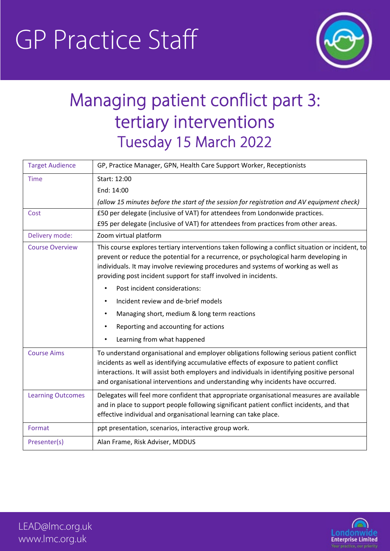# GP Practice Staff



# Managing patient conflict part 3: tertiary interventions Tuesday 15 March 2022

| <b>Target Audience</b>   | GP, Practice Manager, GPN, Health Care Support Worker, Receptionists                                                                                                                                                                                                                                                                                                 |  |
|--------------------------|----------------------------------------------------------------------------------------------------------------------------------------------------------------------------------------------------------------------------------------------------------------------------------------------------------------------------------------------------------------------|--|
| <b>Time</b>              | Start: 12:00                                                                                                                                                                                                                                                                                                                                                         |  |
|                          | End: 14:00                                                                                                                                                                                                                                                                                                                                                           |  |
|                          | (allow 15 minutes before the start of the session for registration and AV equipment check)                                                                                                                                                                                                                                                                           |  |
| Cost                     | £50 per delegate (inclusive of VAT) for attendees from Londonwide practices.                                                                                                                                                                                                                                                                                         |  |
|                          | £95 per delegate (inclusive of VAT) for attendees from practices from other areas.                                                                                                                                                                                                                                                                                   |  |
| Delivery mode:           | Zoom virtual platform                                                                                                                                                                                                                                                                                                                                                |  |
| <b>Course Overview</b>   | This course explores tertiary interventions taken following a conflict situation or incident, to<br>prevent or reduce the potential for a recurrence, or psychological harm developing in<br>individuals. It may involve reviewing procedures and systems of working as well as<br>providing post incident support for staff involved in incidents.                  |  |
|                          | Post incident considerations:                                                                                                                                                                                                                                                                                                                                        |  |
|                          | Incident review and de-brief models<br>$\bullet$                                                                                                                                                                                                                                                                                                                     |  |
|                          | Managing short, medium & long term reactions                                                                                                                                                                                                                                                                                                                         |  |
|                          | Reporting and accounting for actions                                                                                                                                                                                                                                                                                                                                 |  |
|                          | Learning from what happened                                                                                                                                                                                                                                                                                                                                          |  |
| <b>Course Aims</b>       | To understand organisational and employer obligations following serious patient conflict<br>incidents as well as identifying accumulative effects of exposure to patient conflict<br>interactions. It will assist both employers and individuals in identifying positive personal<br>and organisational interventions and understanding why incidents have occurred. |  |
| <b>Learning Outcomes</b> | Delegates will feel more confident that appropriate organisational measures are available<br>and in place to support people following significant patient conflict incidents, and that<br>effective individual and organisational learning can take place.                                                                                                           |  |
| Format                   | ppt presentation, scenarios, interactive group work.                                                                                                                                                                                                                                                                                                                 |  |
| Presenter(s)             | Alan Frame, Risk Adviser, MDDUS                                                                                                                                                                                                                                                                                                                                      |  |



LEAD@lmc.org.uk www.lmc.org.uk